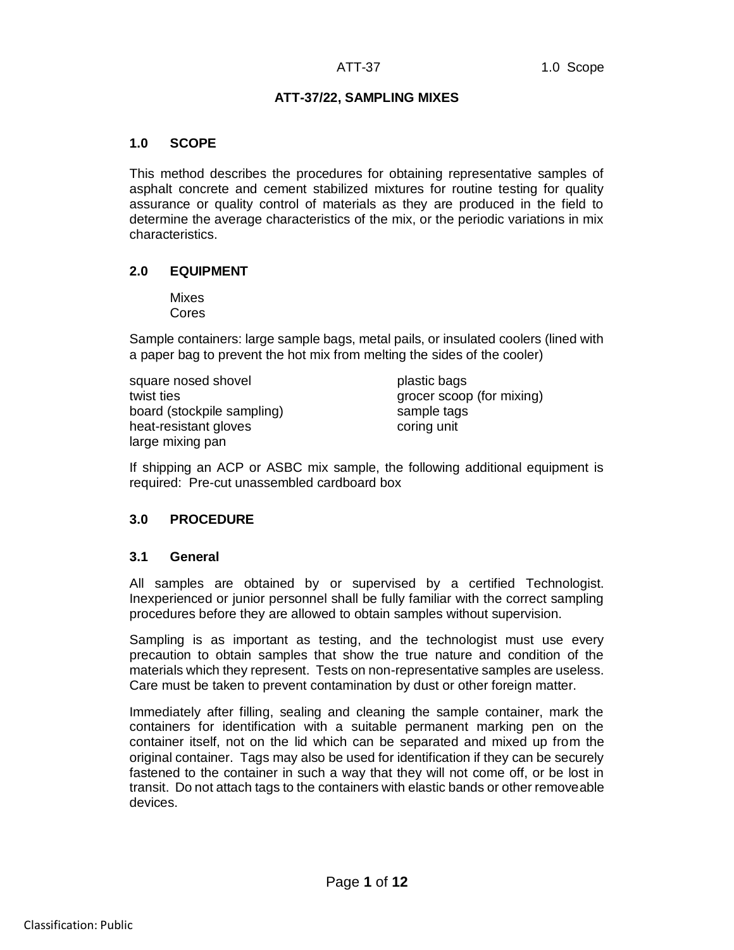#### **ATT-37/22, SAMPLING MIXES**

#### **1.0 SCOPE**

This method describes the procedures for obtaining representative samples of asphalt concrete and cement stabilized mixtures for routine testing for quality assurance or quality control of materials as they are produced in the field to determine the average characteristics of the mix, or the periodic variations in mix characteristics.

#### **2.0 EQUIPMENT**

Mixes Cores

Sample containers: large sample bags, metal pails, or insulated coolers (lined with a paper bag to prevent the hot mix from melting the sides of the cooler)

square nosed shovel plastic bags twist ties grocer scoop (for mixing) board (stockpile sampling) sample tags heat-resistant gloves coring unit large mixing pan

If shipping an ACP or ASBC mix sample, the following additional equipment is required: Pre-cut unassembled cardboard box

## **3.0 PROCEDURE**

#### **3.1 General**

All samples are obtained by or supervised by a certified Technologist. Inexperienced or junior personnel shall be fully familiar with the correct sampling procedures before they are allowed to obtain samples without supervision.

Sampling is as important as testing, and the technologist must use every precaution to obtain samples that show the true nature and condition of the materials which they represent. Tests on non-representative samples are useless. Care must be taken to prevent contamination by dust or other foreign matter.

Immediately after filling, sealing and cleaning the sample container, mark the containers for identification with a suitable permanent marking pen on the container itself, not on the lid which can be separated and mixed up from the original container. Tags may also be used for identification if they can be securely fastened to the container in such a way that they will not come off, or be lost in transit. Do not attach tags to the containers with elastic bands or other removeable devices.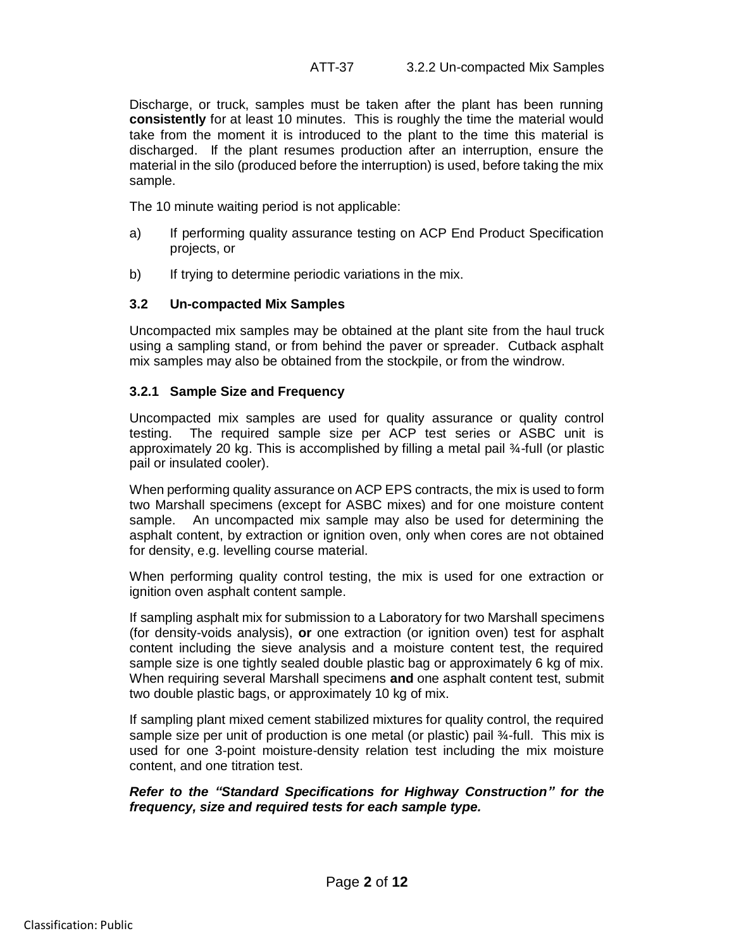Discharge, or truck, samples must be taken after the plant has been running **consistently** for at least 10 minutes. This is roughly the time the material would take from the moment it is introduced to the plant to the time this material is discharged. If the plant resumes production after an interruption, ensure the material in the silo (produced before the interruption) is used, before taking the mix sample.

The 10 minute waiting period is not applicable:

- a) If performing quality assurance testing on ACP End Product Specification projects, or
- b) If trying to determine periodic variations in the mix.

## **3.2 Un-compacted Mix Samples**

Uncompacted mix samples may be obtained at the plant site from the haul truck using a sampling stand, or from behind the paver or spreader. Cutback asphalt mix samples may also be obtained from the stockpile, or from the windrow.

## **3.2.1 Sample Size and Frequency**

Uncompacted mix samples are used for quality assurance or quality control testing. The required sample size per ACP test series or ASBC unit is approximately 20 kg. This is accomplished by filling a metal pail ¾-full (or plastic pail or insulated cooler).

When performing quality assurance on ACP EPS contracts, the mix is used to form two Marshall specimens (except for ASBC mixes) and for one moisture content sample. An uncompacted mix sample may also be used for determining the asphalt content, by extraction or ignition oven, only when cores are not obtained for density, e.g. levelling course material.

When performing quality control testing, the mix is used for one extraction or ignition oven asphalt content sample.

If sampling asphalt mix for submission to a Laboratory for two Marshall specimens (for density-voids analysis), **or** one extraction (or ignition oven) test for asphalt content including the sieve analysis and a moisture content test, the required sample size is one tightly sealed double plastic bag or approximately 6 kg of mix. When requiring several Marshall specimens **and** one asphalt content test, submit two double plastic bags, or approximately 10 kg of mix.

If sampling plant mixed cement stabilized mixtures for quality control, the required sample size per unit of production is one metal (or plastic) pail ¾-full. This mix is used for one 3-point moisture-density relation test including the mix moisture content, and one titration test.

*Refer to the "Standard Specifications for Highway Construction" for the frequency, size and required tests for each sample type.*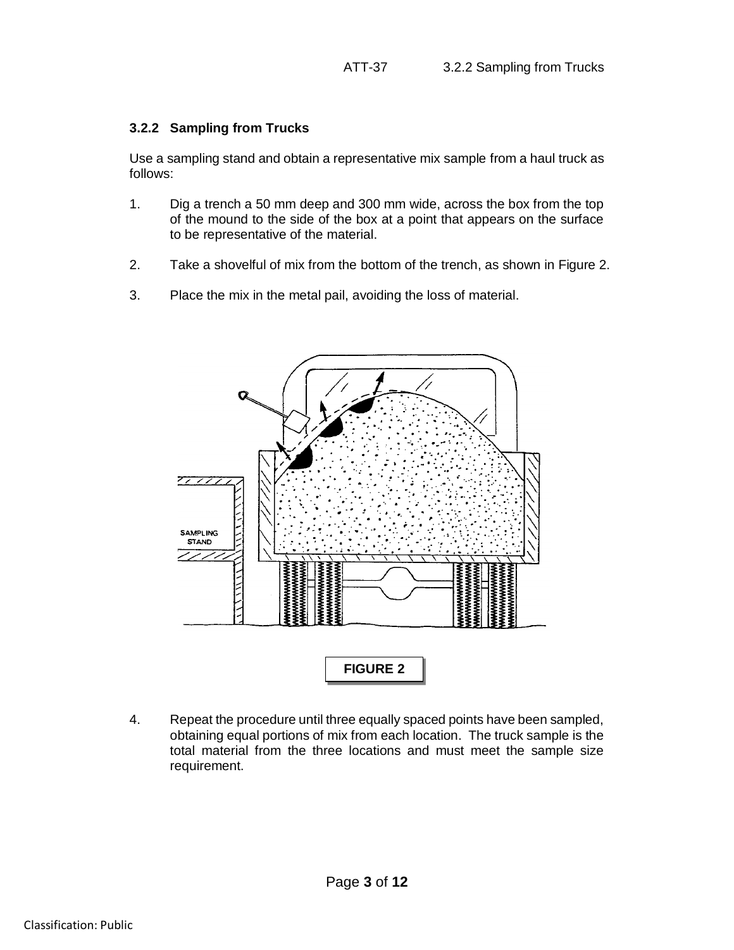## **3.2.2 Sampling from Trucks**

Use a sampling stand and obtain a representative mix sample from a haul truck as follows:

- 1. Dig a trench a 50 mm deep and 300 mm wide, across the box from the top of the mound to the side of the box at a point that appears on the surface to be representative of the material.
- 2. Take a shovelful of mix from the bottom of the trench, as shown in Figure 2.
- 3. Place the mix in the metal pail, avoiding the loss of material.



4. Repeat the procedure until three equally spaced points have been sampled, obtaining equal portions of mix from each location. The truck sample is the total material from the three locations and must meet the sample size requirement.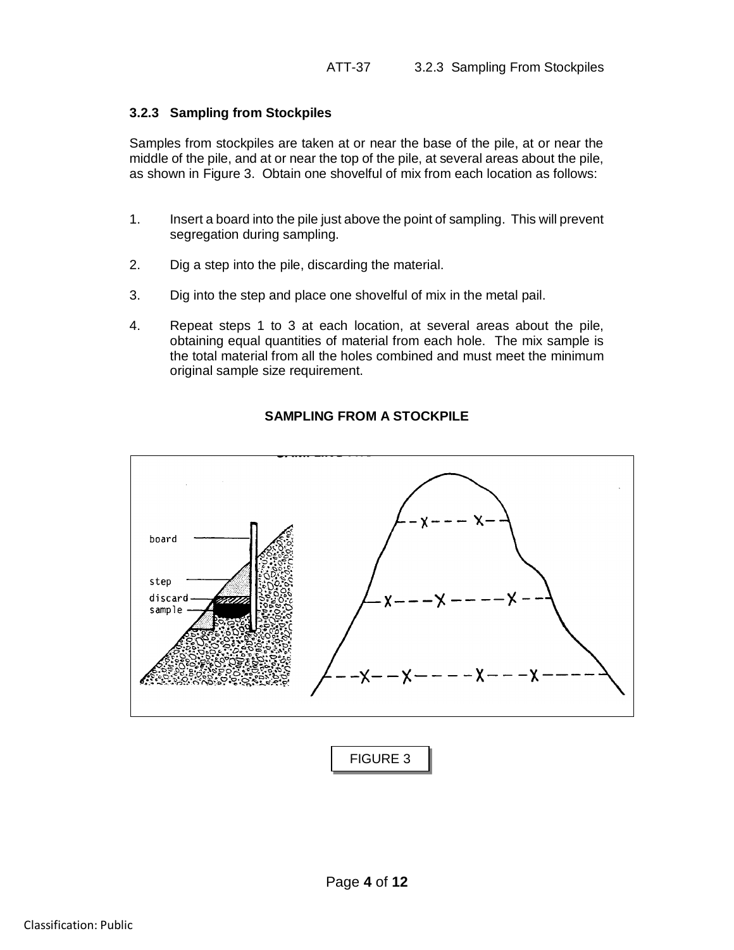## **3.2.3 Sampling from Stockpiles**

Samples from stockpiles are taken at or near the base of the pile, at or near the middle of the pile, and at or near the top of the pile, at several areas about the pile, as shown in Figure 3. Obtain one shovelful of mix from each location as follows:

- 1. Insert a board into the pile just above the point of sampling. This will prevent segregation during sampling.
- 2. Dig a step into the pile, discarding the material.
- 3. Dig into the step and place one shovelful of mix in the metal pail.
- 4. Repeat steps 1 to 3 at each location, at several areas about the pile, obtaining equal quantities of material from each hole. The mix sample is the total material from all the holes combined and must meet the minimum original sample size requirement.



# **SAMPLING FROM A STOCKPILE**

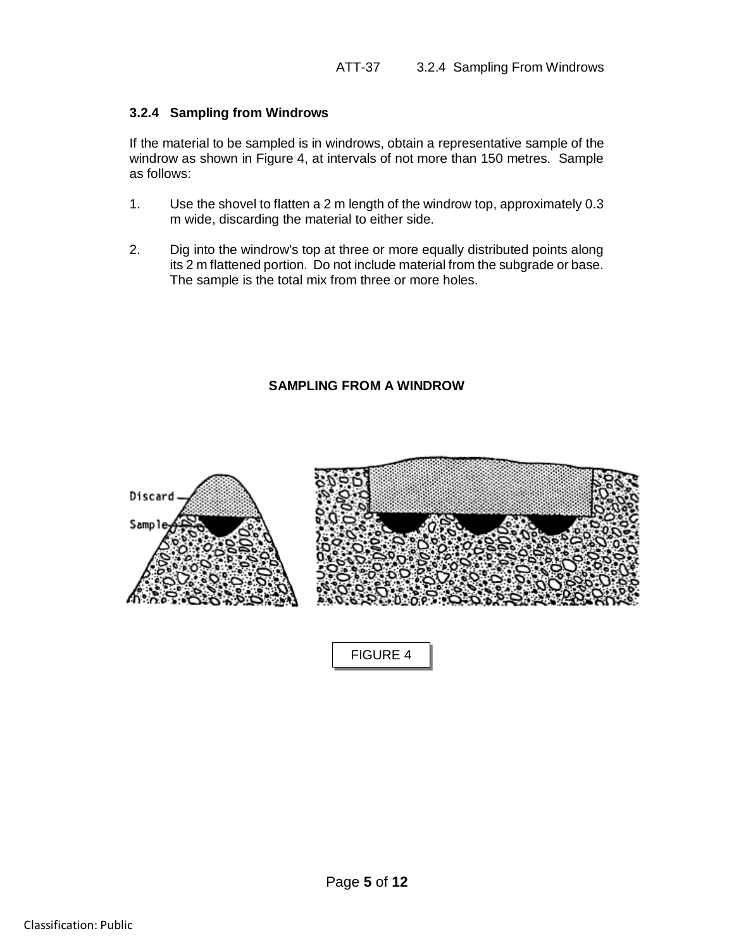### **3.2.4 Sampling from Windrows**

If the material to be sampled is in windrows, obtain a representative sample of the windrow as shown in Figure 4, at intervals of not more than 150 metres. Sample as follows:

- 1. Use the shovel to flatten a 2 m length of the windrow top, approximately 0.3 m wide, discarding the material to either side.
- 2. Dig into the windrow's top at three or more equally distributed points along its 2 m flattened portion. Do not include material from the subgrade or base. The sample is the total mix from three or more holes.

# **SAMPLING FROM A WINDROW**



FIGURE 4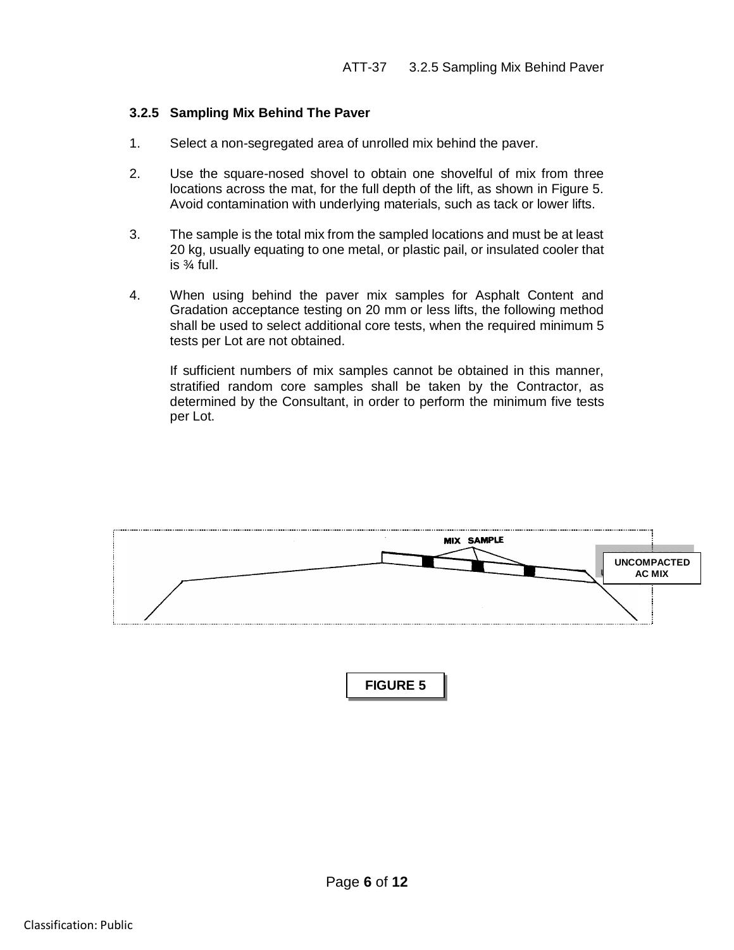## **3.2.5 Sampling Mix Behind The Paver**

- 1. Select a non-segregated area of unrolled mix behind the paver.
- 2. Use the square-nosed shovel to obtain one shovelful of mix from three locations across the mat, for the full depth of the lift, as shown in Figure 5. Avoid contamination with underlying materials, such as tack or lower lifts.
- 3. The sample is the total mix from the sampled locations and must be at least 20 kg, usually equating to one metal, or plastic pail, or insulated cooler that is  $\frac{3}{4}$  full.
- 4. When using behind the paver mix samples for Asphalt Content and Gradation acceptance testing on 20 mm or less lifts, the following method shall be used to select additional core tests, when the required minimum 5 tests per Lot are not obtained.

If sufficient numbers of mix samples cannot be obtained in this manner, stratified random core samples shall be taken by the Contractor, as determined by the Consultant, in order to perform the minimum five tests per Lot.



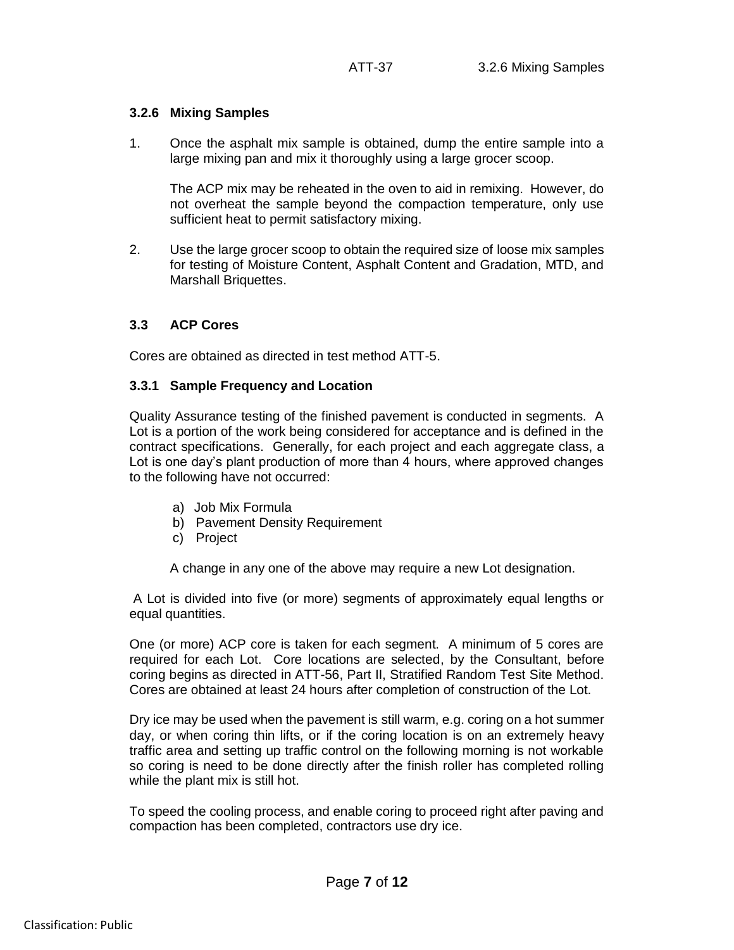## **3.2.6 Mixing Samples**

1. Once the asphalt mix sample is obtained, dump the entire sample into a large mixing pan and mix it thoroughly using a large grocer scoop.

The ACP mix may be reheated in the oven to aid in remixing. However, do not overheat the sample beyond the compaction temperature, only use sufficient heat to permit satisfactory mixing.

2. Use the large grocer scoop to obtain the required size of loose mix samples for testing of Moisture Content, Asphalt Content and Gradation, MTD, and Marshall Briquettes.

### **3.3 ACP Cores**

Cores are obtained as directed in test method ATT-5.

#### **3.3.1 Sample Frequency and Location**

Quality Assurance testing of the finished pavement is conducted in segments. A Lot is a portion of the work being considered for acceptance and is defined in the contract specifications. Generally, for each project and each aggregate class, a Lot is one day's plant production of more than 4 hours, where approved changes to the following have not occurred:

- a) Job Mix Formula
- b) Pavement Density Requirement
- c) Project

A change in any one of the above may require a new Lot designation.

A Lot is divided into five (or more) segments of approximately equal lengths or equal quantities.

One (or more) ACP core is taken for each segment. A minimum of 5 cores are required for each Lot. Core locations are selected, by the Consultant, before coring begins as directed in ATT-56, Part II, Stratified Random Test Site Method. Cores are obtained at least 24 hours after completion of construction of the Lot.

Dry ice may be used when the pavement is still warm, e.g. coring on a hot summer day, or when coring thin lifts, or if the coring location is on an extremely heavy traffic area and setting up traffic control on the following morning is not workable so coring is need to be done directly after the finish roller has completed rolling while the plant mix is still hot.

To speed the cooling process, and enable coring to proceed right after paving and compaction has been completed, contractors use dry ice.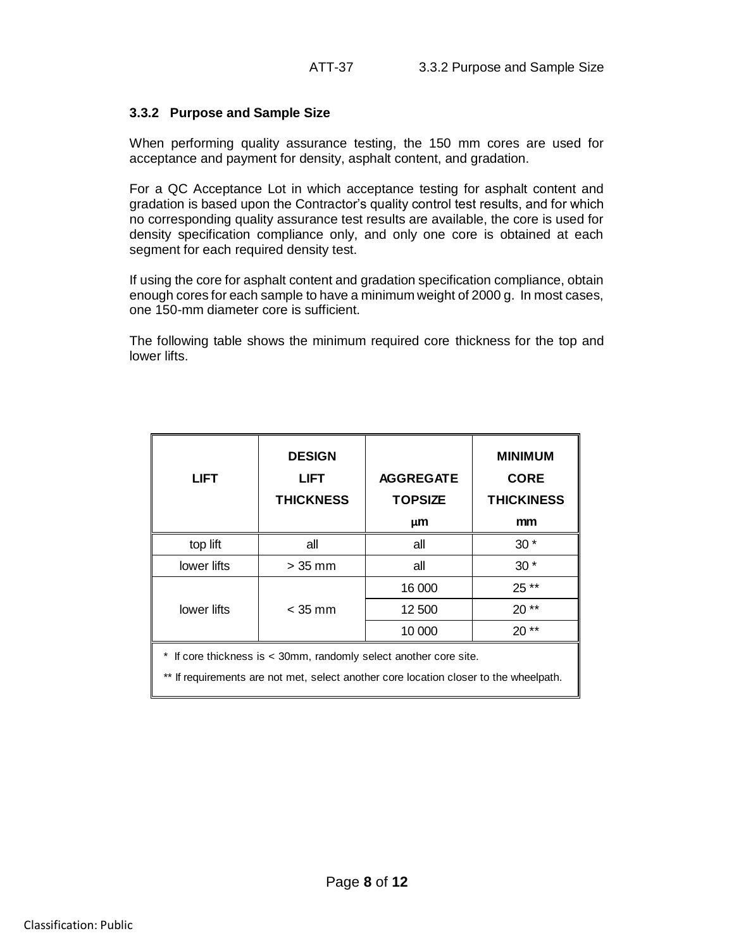# **3.3.2 Purpose and Sample Size**

When performing quality assurance testing, the 150 mm cores are used for acceptance and payment for density, asphalt content, and gradation.

For a QC Acceptance Lot in which acceptance testing for asphalt content and gradation is based upon the Contractor's quality control test results, and for which no corresponding quality assurance test results are available, the core is used for density specification compliance only, and only one core is obtained at each segment for each required density test.

If using the core for asphalt content and gradation specification compliance, obtain enough cores for each sample to have a minimum weight of 2000 g. In most cases, one 150-mm diameter core is sufficient.

The following table shows the minimum required core thickness for the top and lower lifts.

| <b>LIFT</b>                                                       | <b>DESIGN</b><br><b>LIFT</b><br><b>THICKNESS</b> | <b>AGGREGATE</b><br><b>TOPSIZE</b><br>μm | <b>MINIMUM</b><br><b>CORE</b><br><b>THICKINESS</b><br>mm |
|-------------------------------------------------------------------|--------------------------------------------------|------------------------------------------|----------------------------------------------------------|
| top lift                                                          | all                                              | all                                      | $30*$                                                    |
| lower lifts                                                       | $> 35$ mm                                        | all                                      | $30*$                                                    |
|                                                                   |                                                  | 16 000                                   | 25 **                                                    |
| lower lifts                                                       | $<$ 35 mm                                        | 12 500                                   | $20**$                                                   |
|                                                                   |                                                  | 10 000                                   | $20**$                                                   |
| * If core thickness is < 30mm, randomly select another core site. |                                                  |                                          |                                                          |

\*\* If requirements are not met, select another core location closer to the wheelpath.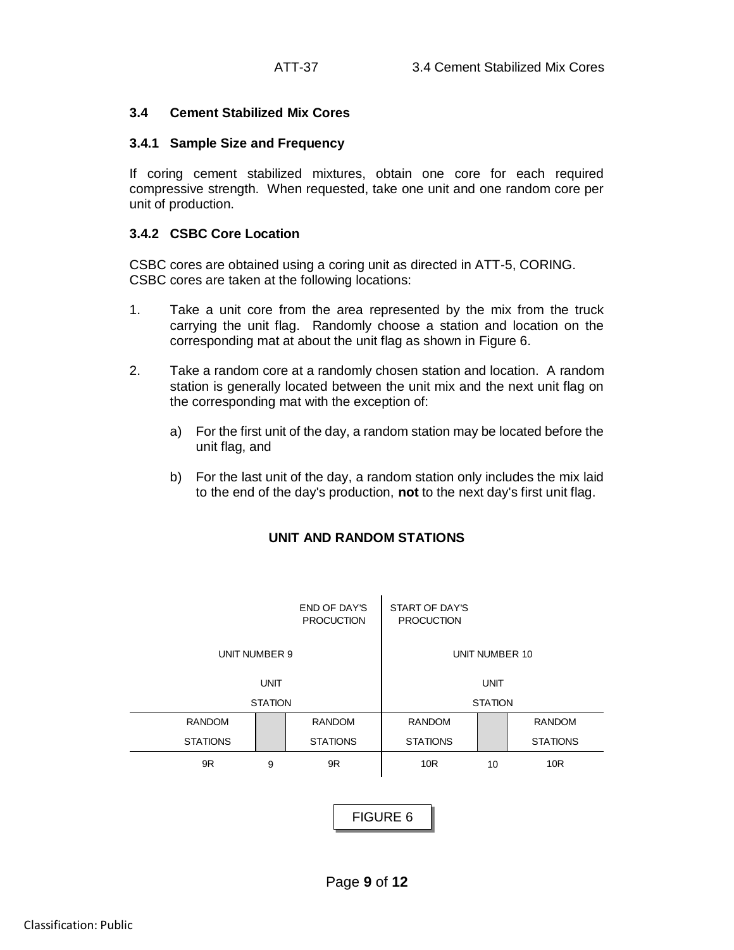## **3.4 Cement Stabilized Mix Cores**

## **3.4.1 Sample Size and Frequency**

If coring cement stabilized mixtures, obtain one core for each required compressive strength. When requested, take one unit and one random core per unit of production.

## **3.4.2 CSBC Core Location**

CSBC cores are obtained using a coring unit as directed in ATT-5, CORING. CSBC cores are taken at the following locations:

- 1. Take a unit core from the area represented by the mix from the truck carrying the unit flag. Randomly choose a station and location on the corresponding mat at about the unit flag as shown in Figure 6.
- 2. Take a random core at a randomly chosen station and location. A random station is generally located between the unit mix and the next unit flag on the corresponding mat with the exception of:
	- a) For the first unit of the day, a random station may be located before the unit flag, and
	- b) For the last unit of the day, a random station only includes the mix laid to the end of the day's production, **not** to the next day's first unit flag.



# **UNIT AND RANDOM STATIONS**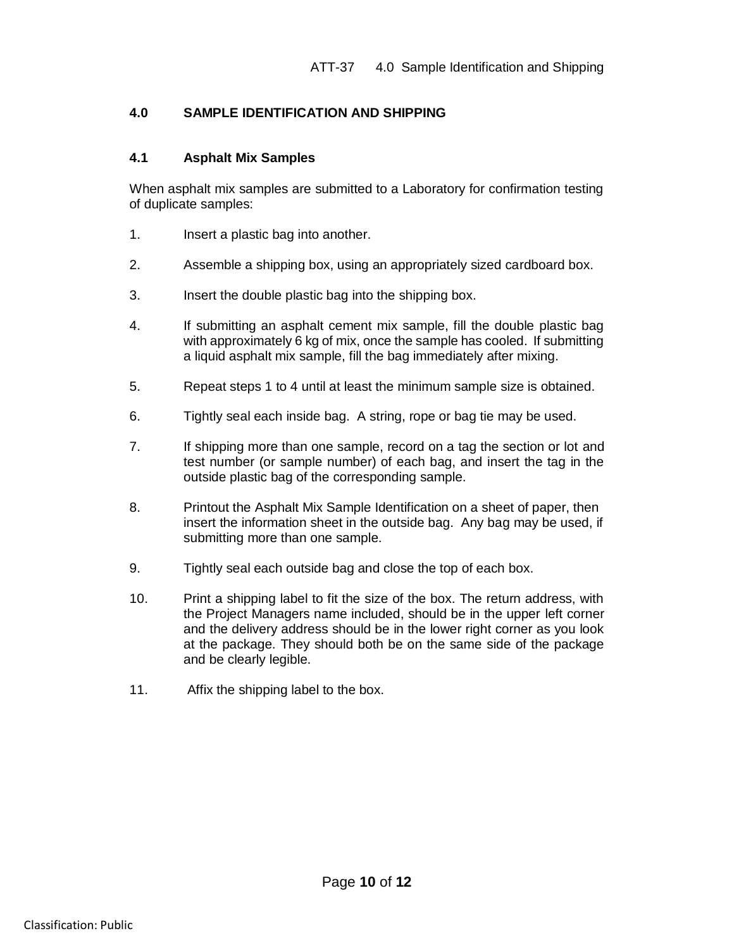# **4.0 SAMPLE IDENTIFICATION AND SHIPPING**

### **4.1 Asphalt Mix Samples**

When asphalt mix samples are submitted to a Laboratory for confirmation testing of duplicate samples:

- 1. Insert a plastic bag into another.
- 2. Assemble a shipping box, using an appropriately sized cardboard box.
- 3. Insert the double plastic bag into the shipping box.
- 4. If submitting an asphalt cement mix sample, fill the double plastic bag with approximately 6 kg of mix, once the sample has cooled. If submitting a liquid asphalt mix sample, fill the bag immediately after mixing.
- 5. Repeat steps 1 to 4 until at least the minimum sample size is obtained.
- 6. Tightly seal each inside bag. A string, rope or bag tie may be used.
- 7. If shipping more than one sample, record on a tag the section or lot and test number (or sample number) of each bag, and insert the tag in the outside plastic bag of the corresponding sample.
- 8. Printout the Asphalt Mix Sample Identification on a sheet of paper, then insert the information sheet in the outside bag. Any bag may be used, if submitting more than one sample.
- 9. Tightly seal each outside bag and close the top of each box.
- 10. Print a shipping label to fit the size of the box. The return address, with the Project Managers name included, should be in the upper left corner and the delivery address should be in the lower right corner as you look at the package. They should both be on the same side of the package and be clearly legible.
- 11. Affix the shipping label to the box.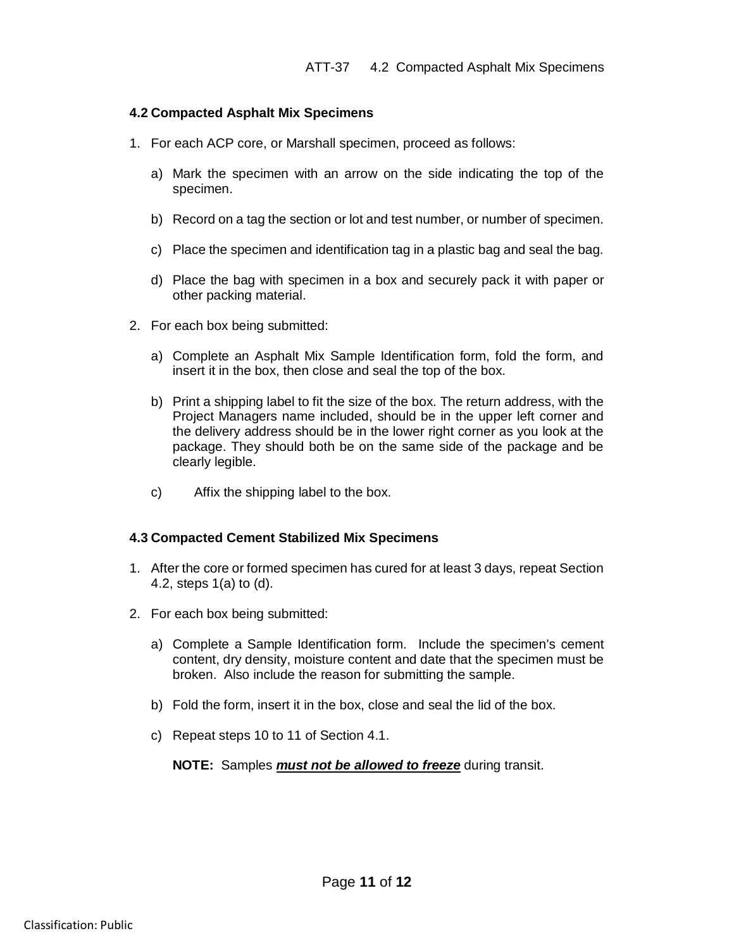#### **4.2 Compacted Asphalt Mix Specimens**

- 1. For each ACP core, or Marshall specimen, proceed as follows:
	- a) Mark the specimen with an arrow on the side indicating the top of the specimen.
	- b) Record on a tag the section or lot and test number, or number of specimen.
	- c) Place the specimen and identification tag in a plastic bag and seal the bag.
	- d) Place the bag with specimen in a box and securely pack it with paper or other packing material.
- 2. For each box being submitted:
	- a) Complete an Asphalt Mix Sample Identification form, fold the form, and insert it in the box, then close and seal the top of the box.
	- b) Print a shipping label to fit the size of the box. The return address, with the Project Managers name included, should be in the upper left corner and the delivery address should be in the lower right corner as you look at the package. They should both be on the same side of the package and be clearly legible.
	- c) Affix the shipping label to the box.

## **4.3 Compacted Cement Stabilized Mix Specimens**

- 1. After the core or formed specimen has cured for at least 3 days, repeat Section 4.2, steps 1(a) to (d).
- 2. For each box being submitted:
	- a) Complete a Sample Identification form. Include the specimen's cement content, dry density, moisture content and date that the specimen must be broken. Also include the reason for submitting the sample.
	- b) Fold the form, insert it in the box, close and seal the lid of the box.
	- c) Repeat steps 10 to 11 of Section 4.1.

**NOTE:** Samples *must not be allowed to freeze* during transit.